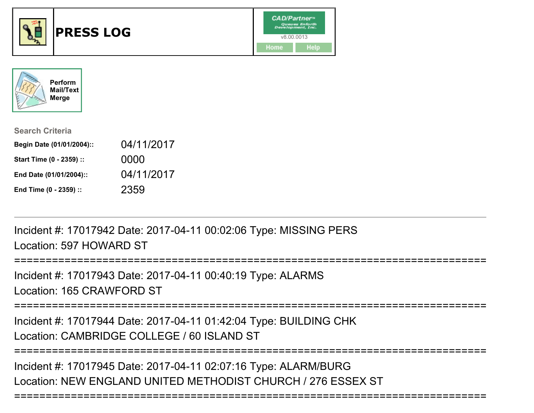



| <b>Search Criteria</b>    |            |
|---------------------------|------------|
| Begin Date (01/01/2004):: | 04/11/2017 |
| Start Time (0 - 2359) ::  | 0000       |
| End Date (01/01/2004)::   | 04/11/2017 |
| End Time (0 - 2359) ::    | 2359       |

Incident #: 17017942 Date: 2017-04-11 00:02:06 Type: MISSING PERSLocation: 597 HOWARD ST

Incident #: 17017943 Date: 2017-04-11 00:40:19 Type: ALARMSLocation: 165 CRAWFORD ST

===========================================================================

Incident #: 17017944 Date: 2017-04-11 01:42:04 Type: BUILDING CHKLocation: CAMBRIDGE COLLEGE / 60 ISLAND ST

===========================================================================

===========================================================================

Incident #: 17017945 Date: 2017-04-11 02:07:16 Type: ALARM/BURGLocation: NEW ENGLAND UNITED METHODIST CHURCH / 276 ESSEX ST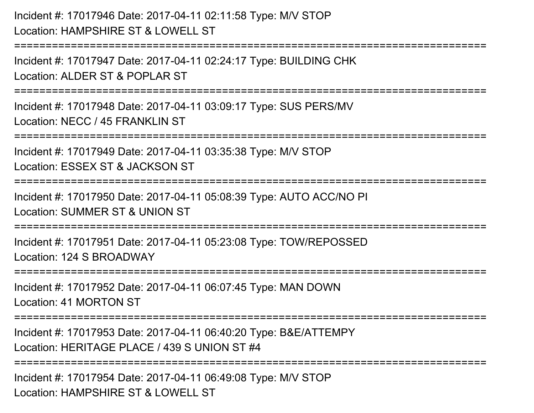Incident #: 17017946 Date: 2017-04-11 02:11:58 Type: M/V STOPLocation: HAMPSHIRE ST & LOWELL ST

===========================================================================

Incident #: 17017947 Date: 2017-04-11 02:24:17 Type: BUILDING CHKLocation: ALDER ST & POPLAR ST

===========================================================================

Incident #: 17017948 Date: 2017-04-11 03:09:17 Type: SUS PERS/MVLocation: NECC / 45 FRANKLIN ST

===========================================================================

Incident #: 17017949 Date: 2017-04-11 03:35:38 Type: M/V STOP

Location: ESSEX ST & JACKSON ST

===========================================================================

Incident #: 17017950 Date: 2017-04-11 05:08:39 Type: AUTO ACC/NO PI

Location: SUMMER ST & UNION ST

===========================================================================

Incident #: 17017951 Date: 2017-04-11 05:23:08 Type: TOW/REPOSSEDLocation: 124 S BROADWAY

===========================================================================

Incident #: 17017952 Date: 2017-04-11 06:07:45 Type: MAN DOWNLocation: 41 MORTON ST

===========================================================================

Incident #: 17017953 Date: 2017-04-11 06:40:20 Type: B&E/ATTEMPYLocation: HERITAGE PLACE / 439 S UNION ST #4

**===================** 

Incident #: 17017954 Date: 2017-04-11 06:49:08 Type: M/V STOPLocation: HAMPSHIRF ST & LOWELL ST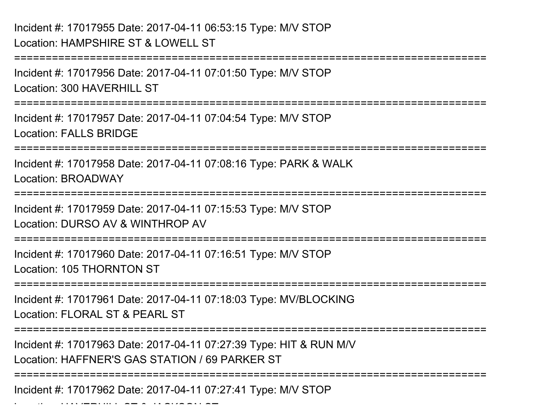Location: HAVERHILL ST & JACKSON ST

===========================================================================Incident #: 17017956 Date: 2017-04-11 07:01:50 Type: M/V STOPLocation: 300 HAVERHILL ST ===========================================================================Incident #: 17017957 Date: 2017-04-11 07:04:54 Type: M/V STOPLocation: FALLS BRIDGE===========================================================================Incident #: 17017958 Date: 2017-04-11 07:08:16 Type: PARK & WALKLocation: BROADWAY===========================================================================Incident #: 17017959 Date: 2017-04-11 07:15:53 Type: M/V STOPLocation: DURSO AV & WINTHROP AV===========================================================================Incident #: 17017960 Date: 2017-04-11 07:16:51 Type: M/V STOPLocation: 105 THORNTON ST===========================================================================Incident #: 17017961 Date: 2017-04-11 07:18:03 Type: MV/BLOCKINGLocation: FLORAL ST & PEARL ST===========================================================================Incident #: 17017963 Date: 2017-04-11 07:27:39 Type: HIT & RUN M/VLocation: HAFFNER'S GAS STATION / 69 PARKER ST===========================================================================Incident #: 17017962 Date: 2017-04-11 07:27:41 Type: M/V STOP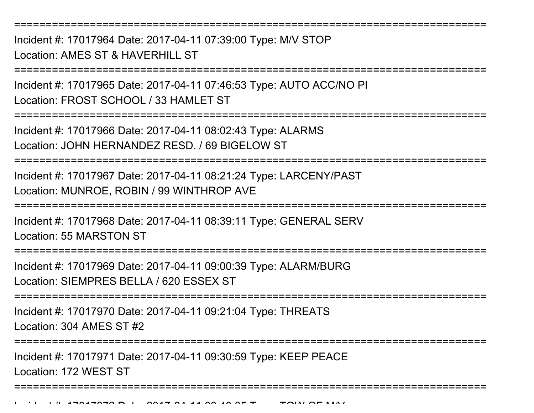Incident #: 17017964 Date: 2017-04-11 07:39:00 Type: M/V STOPLocation: AMES ST & HAVERHILL ST

===========================================================================

===========================================================================

Incident #: 17017965 Date: 2017-04-11 07:46:53 Type: AUTO ACC/NO PILocation: FROST SCHOOL / 33 HAMI FT ST

===========================================================================

Incident #: 17017966 Date: 2017-04-11 08:02:43 Type: ALARMSLocation: JOHN HERNANDEZ RESD. / 69 BIGELOW ST

**======================** 

Incident #: 17017967 Date: 2017-04-11 08:21:24 Type: LARCENY/PASTLocation: MUNROE, ROBIN / 99 WINTHROP AVE

===========================================================================

Incident #: 17017968 Date: 2017-04-11 08:39:11 Type: GENERAL SERVLocation: 55 MARSTON ST

===========================================================================

Incident #: 17017969 Date: 2017-04-11 09:00:39 Type: ALARM/BURGLocation: SIEMPRES BELLA / 620 ESSEX ST

===========================================================================

Incident #: 17017970 Date: 2017-04-11 09:21:04 Type: THREATSLocation: 304 AMES ST #2

================

Incident #: 17017971 Date: 2017-04-11 09:30:59 Type: KEEP PEACELocation: 172 WEST ST

===========================================================================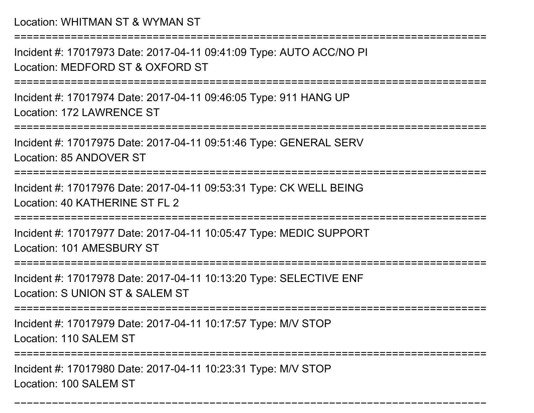Location: WHITMAN ST & WYMAN ST

===========================================================================

Incident #: 17017973 Date: 2017-04-11 09:41:09 Type: AUTO ACC/NO PILocation: MEDFORD ST & OXFORD ST

===========================================================================

Incident #: 17017974 Date: 2017-04-11 09:46:05 Type: 911 HANG UPLocation: 172 LAWRENCE ST

===========================================================================

Incident #: 17017975 Date: 2017-04-11 09:51:46 Type: GENERAL SERVLocation: 85 ANDOVER ST

===========================================================================

Incident #: 17017976 Date: 2017-04-11 09:53:31 Type: CK WELL BEINGLocation: 40 KATHERINE ST FL 2

===========================================================================

Incident #: 17017977 Date: 2017-04-11 10:05:47 Type: MEDIC SUPPORTLocation: 101 AMESBURY ST

=======================

Incident #: 17017978 Date: 2017-04-11 10:13:20 Type: SELECTIVE ENF

Location: S UNION ST & SALEM ST

===========================================================================

Incident #: 17017979 Date: 2017-04-11 10:17:57 Type: M/V STOP

Location: 110 SALEM ST

===========================================================================

===========================================================================

Incident #: 17017980 Date: 2017-04-11 10:23:31 Type: M/V STOPLocation: 100 SALEM ST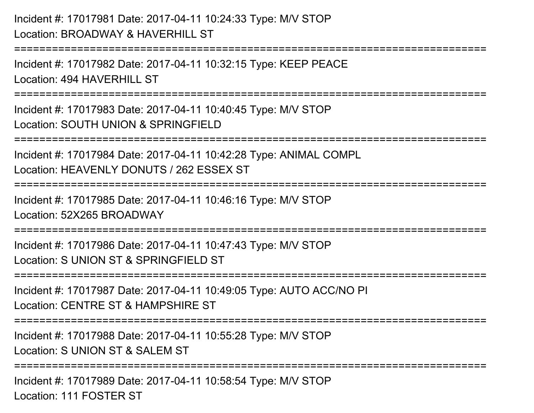```
Incident #: 17017981 Date: 2017-04-11 10:24:33 Type: M/V STOPLocation: BROADWAY & HAVERHILL ST===========================================================================Incident #: 17017982 Date: 2017-04-11 10:32:15 Type: KEEP PEACELocation: 494 HAVERHILL ST
===========================================================================Incident #: 17017983 Date: 2017-04-11 10:40:45 Type: M/V STOPLocation: SOUTH UNION & SPRINGFIELD===========================================================================Incident #: 17017984 Date: 2017-04-11 10:42:28 Type: ANIMAL COMPLLocation: HEAVENLY DONUTS / 262 ESSEX ST===========================================================================Incident #: 17017985 Date: 2017-04-11 10:46:16 Type: M/V STOPLocation: 52X265 BROADWAY===========================================================================Incident #: 17017986 Date: 2017-04-11 10:47:43 Type: M/V STOPLocation: S UNION ST & SPRINGFIFLD ST
===========================================================================Incident #: 17017987 Date: 2017-04-11 10:49:05 Type: AUTO ACC/NO PILocation: CENTRE ST & HAMPSHIRE ST===========================================================================Incident #: 17017988 Date: 2017-04-11 10:55:28 Type: M/V STOPLocation: S UNION ST & SALEM ST
===========================================================================Incident #: 17017989 Date: 2017-04-11 10:58:54 Type: M/V STOP
```
Location: 111 FOSTER ST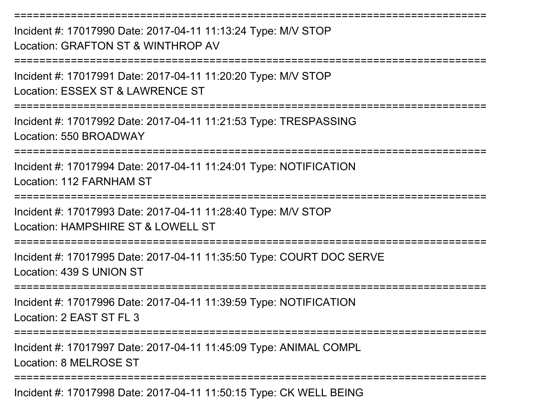Incident #: 17017990 Date: 2017-04-11 11:13:24 Type: M/V STOPLocation: GRAFTON ST & WINTHROP AV

===========================================================================

===========================================================================

Incident #: 17017991 Date: 2017-04-11 11:20:20 Type: M/V STOPLocation: ESSEX ST & LAWRENCE ST

===========================================================================

Incident #: 17017992 Date: 2017-04-11 11:21:53 Type: TRESPASSINGLocation: 550 BROADWAY

===========================================================================

Incident #: 17017994 Date: 2017-04-11 11:24:01 Type: NOTIFICATIONLocation: 112 FARNHAM ST

===========================================================================

Incident #: 17017993 Date: 2017-04-11 11:28:40 Type: M/V STOP

Location: HAMPSHIRF ST & LOWELL ST

===========================================================================

Incident #: 17017995 Date: 2017-04-11 11:35:50 Type: COURT DOC SERVELocation: 439 S UNION ST

===========================================================================

Incident #: 17017996 Date: 2017-04-11 11:39:59 Type: NOTIFICATIONLocation: 2 EAST ST FL 3

===========================================================================

Incident #: 17017997 Date: 2017-04-11 11:45:09 Type: ANIMAL COMPLLocation: 8 MELROSE ST

===========================================================================

Incident #: 17017998 Date: 2017-04-11 11:50:15 Type: CK WELL BEING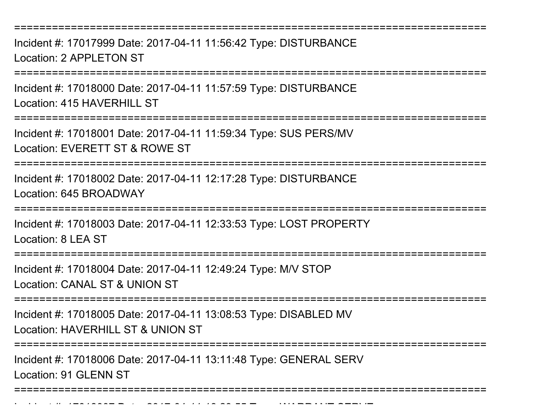===========================================================================

Incident #: 17017999 Date: 2017-04-11 11:56:42 Type: DISTURBANCELocation: 2 APPLETON ST

===========================================================================

Incident #: 17018000 Date: 2017-04-11 11:57:59 Type: DISTURBANCELocation: 415 HAVERHILL ST

===========================================================================

Incident #: 17018001 Date: 2017-04-11 11:59:34 Type: SUS PERS/MVLocation: EVERETT ST & ROWE ST

===========================================================================

Incident #: 17018002 Date: 2017-04-11 12:17:28 Type: DISTURBANCELocation: 645 BROADWAY

===========================================================================

Incident #: 17018003 Date: 2017-04-11 12:33:53 Type: LOST PROPERTY

Location: 8 LEA ST

===========================================================================

Incident #: 17018004 Date: 2017-04-11 12:49:24 Type: M/V STOP

Location: CANAL ST & UNION ST

Incident #: 1701807 Date: 2017

===========================================================================

Incident #: 17018005 Date: 2017-04-11 13:08:53 Type: DISABLED MV

Location: HAVERHILL ST & UNION ST

===========================================================================

Incident #: 17018006 Date: 2017-04-11 13:11:48 Type: GENERAL SERVLocation: 91 GLENN ST

===========================================================================

<sup>04</sup> 11 13:29:55 Type: WARRANT SERVE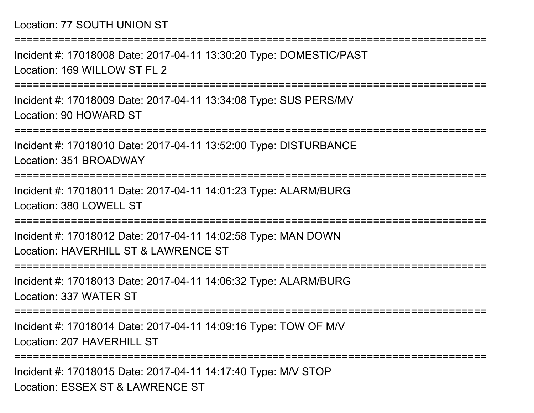## Location: 77 SOUTH UNION ST

===========================================================================Incident #: 17018008 Date: 2017-04-11 13:30:20 Type: DOMESTIC/PASTLocation: 169 WILLOW ST FL 2 ===========================================================================Incident #: 17018009 Date: 2017-04-11 13:34:08 Type: SUS PERS/MVLocation: 90 HOWARD ST===========================================================================Incident #: 17018010 Date: 2017-04-11 13:52:00 Type: DISTURBANCELocation: 351 BROADWAY===========================================================================Incident #: 17018011 Date: 2017-04-11 14:01:23 Type: ALARM/BURGLocation: 380 LOWELL ST===========================================================================Incident #: 17018012 Date: 2017-04-11 14:02:58 Type: MAN DOWNLocation: HAVERHILL ST & LAWRENCE ST===========================================================================Incident #: 17018013 Date: 2017-04-11 14:06:32 Type: ALARM/BURGLocation: 337 WATER ST===========================================================================Incident #: 17018014 Date: 2017-04-11 14:09:16 Type: TOW OF M/VLocation: 207 HAVERHILL ST ===========================================================================

Incident #: 17018015 Date: 2017-04-11 14:17:40 Type: M/V STOPLocation: ESSEX ST & LAWRENCE ST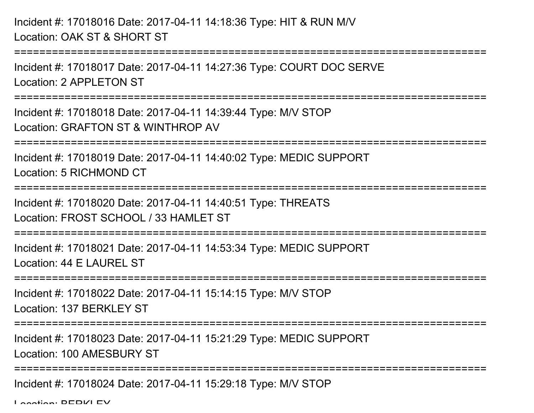Incident #: 17018016 Date: 2017-04-11 14:18:36 Type: HIT & RUN M/VLocation: OAK ST & SHORT ST

===========================================================================Incident #: 17018017 Date: 2017-04-11 14:27:36 Type: COURT DOC SERVELocation: 2 APPL FTON ST ===========================================================================Incident #: 17018018 Date: 2017-04-11 14:39:44 Type: M/V STOPLocation: GRAFTON ST & WINTHROP AV ===========================================================================Incident #: 17018019 Date: 2017-04-11 14:40:02 Type: MEDIC SUPPORTLocation: 5 RICHMOND CT===========================================================================Incident #: 17018020 Date: 2017-04-11 14:40:51 Type: THREATSLocation: FROST SCHOOL / 33 HAMLET ST===========================================================================Incident #: 17018021 Date: 2017-04-11 14:53:34 Type: MEDIC SUPPORTLocation: 44 E LAUREL ST===========================================================================Incident #: 17018022 Date: 2017-04-11 15:14:15 Type: M/V STOPLocation: 137 BERKLEY ST**================** Incident #: 17018023 Date: 2017-04-11 15:21:29 Type: MEDIC SUPPORTLocation: 100 AMESBURY ST===========================================================================Incident #: 17018024 Date: 2017-04-11 15:29:18 Type: M/V STOP

Location: BEBIZI EV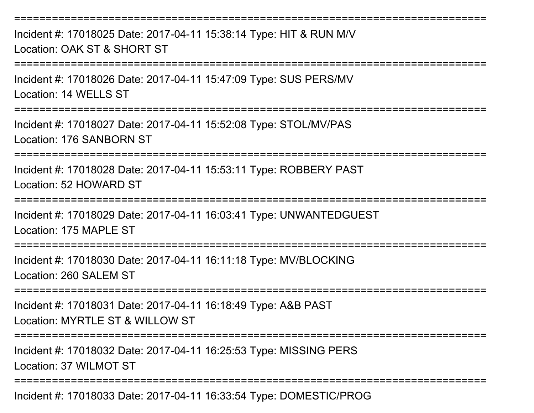Incident #: 17018025 Date: 2017-04-11 15:38:14 Type: HIT & RUN M/VLocation: OAK ST & SHORT ST

===========================================================================

===========================================================================

Incident #: 17018026 Date: 2017-04-11 15:47:09 Type: SUS PERS/MVLocation: 14 WELLS ST

===========================================================================

Incident #: 17018027 Date: 2017-04-11 15:52:08 Type: STOL/MV/PASLocation: 176 SANBORN ST

===========================================================================

Incident #: 17018028 Date: 2017-04-11 15:53:11 Type: ROBBERY PASTLocation: 52 HOWARD ST

===================

Incident #: 17018029 Date: 2017-04-11 16:03:41 Type: UNWANTEDGUESTLocation: 175 MAPLE ST

=========================

Incident #: 17018030 Date: 2017-04-11 16:11:18 Type: MV/BLOCKINGLocation: 260 SALEM ST

==================

Incident #: 17018031 Date: 2017-04-11 16:18:49 Type: A&B PASTLocation: MYRTLE ST & WILLOW ST

**===============** 

Incident #: 17018032 Date: 2017-04-11 16:25:53 Type: MISSING PERSLocation: 37 WILMOT ST

===========================================================================

Incident #: 17018033 Date: 2017-04-11 16:33:54 Type: DOMESTIC/PROG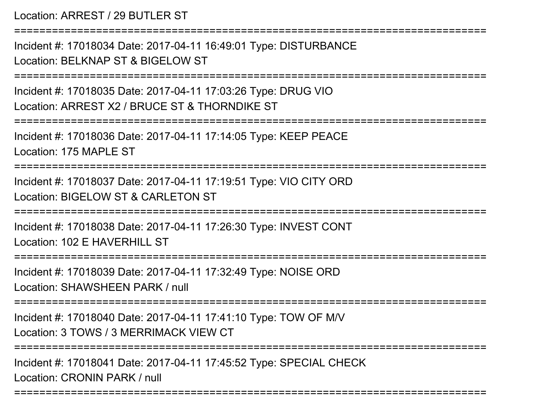Location: ARREST / 29 BUTLER ST

===========================================================================Incident #: 17018034 Date: 2017-04-11 16:49:01 Type: DISTURBANCELocation: BELKNAP ST & BIGFI OW ST ===========================================================================Incident #: 17018035 Date: 2017-04-11 17:03:26 Type: DRUG VIOLocation: ARREST X2 / BRUCE ST & THORNDIKE ST===========================================================================Incident #: 17018036 Date: 2017-04-11 17:14:05 Type: KEEP PEACELocation: 175 MAPLE ST===========================================================================Incident #: 17018037 Date: 2017-04-11 17:19:51 Type: VIO CITY ORDLocation: BIGELOW ST & CARLETON ST========================= Incident #: 17018038 Date: 2017-04-11 17:26:30 Type: INVEST CONTLocation: 102 F HAVERHILL ST ===========================================================================Incident #: 17018039 Date: 2017-04-11 17:32:49 Type: NOISE ORDLocation: SHAWSHEEN PARK / null===========================================================================Incident #: 17018040 Date: 2017-04-11 17:41:10 Type: TOW OF M/VLocation: 3 TOWS / 3 MERRIMACK VIEW CT===========================================================================Incident #: 17018041 Date: 2017-04-11 17:45:52 Type: SPECIAL CHECKLocation: CRONIN PARK / null

===========================================================================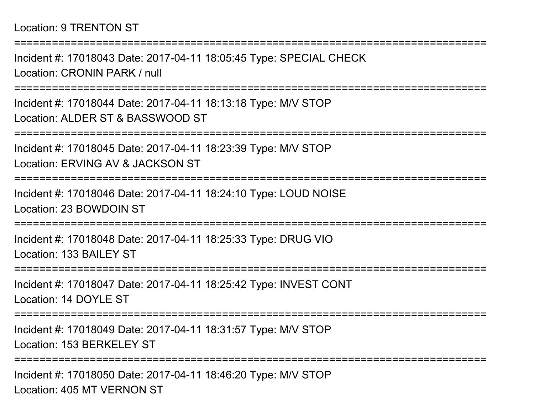Incident #: 17018043 Date: 2017-04-11 18:05:45 Type: SPECIAL CHECKLocation: CRONIN PARK / null

===========================================================================

===========================================================================

Incident #: 17018044 Date: 2017-04-11 18:13:18 Type: M/V STOPLocation: ALDER ST & BASSWOOD ST

===========================================================================

Incident #: 17018045 Date: 2017-04-11 18:23:39 Type: M/V STOPLocation: ERVING AV & JACKSON ST

===========================================================================

Incident #: 17018046 Date: 2017-04-11 18:24:10 Type: LOUD NOISELocation: 23 BOWDOIN ST

===========================================================================

Incident #: 17018048 Date: 2017-04-11 18:25:33 Type: DRUG VIOLocation: 133 BAILEY ST

===========================================================================

Incident #: 17018047 Date: 2017-04-11 18:25:42 Type: INVEST CONTLocation: 14 DOYLE ST

===========================================================================

Incident #: 17018049 Date: 2017-04-11 18:31:57 Type: M/V STOPLocation: 153 BERKELEY ST

===========================================================================

Incident #: 17018050 Date: 2017-04-11 18:46:20 Type: M/V STOPLocation: 405 MT VERNON ST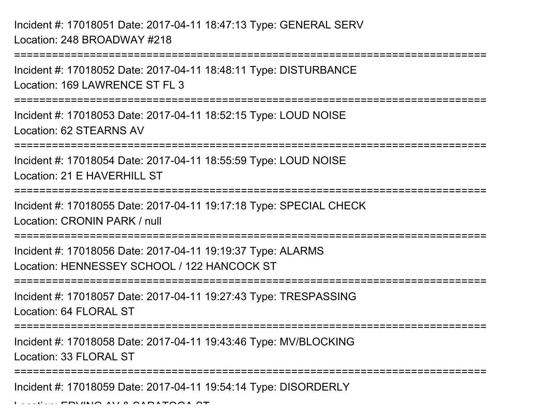Incident #: 17018051 Date: 2017-04-11 18:47:13 Type: GENERAL SERVLocation: 248 BROADWAY #218

===========================================================================Incident #: 17018052 Date: 2017-04-11 18:48:11 Type: DISTURBANCELocation: 169 LAWRENCE ST FL 3===========================================================================Incident #: 17018053 Date: 2017-04-11 18:52:15 Type: LOUD NOISELocation: 62 STEARNS AV===========================================================================Incident #: 17018054 Date: 2017-04-11 18:55:59 Type: LOUD NOISELocation: 21 F HAVERHILL ST **===============** Incident #: 17018055 Date: 2017-04-11 19:17:18 Type: SPECIAL CHECKLocation: CRONIN PARK / null===========================================================================Incident #: 17018056 Date: 2017-04-11 19:19:37 Type: ALARMSLocation: HENNESSEY SCHOOL / 122 HANCOCK ST===========================================================================Incident #: 17018057 Date: 2017-04-11 19:27:43 Type: TRESPASSINGLocation: 64 FLORAL ST ===========================================================================Incident #: 17018058 Date: 2017-04-11 19:43:46 Type: MV/BLOCKINGLocation: 33 FLORAL ST ===========================================================================Incident #: 17018059 Date: 2017-04-11 19:54:14 Type: DISORDERLY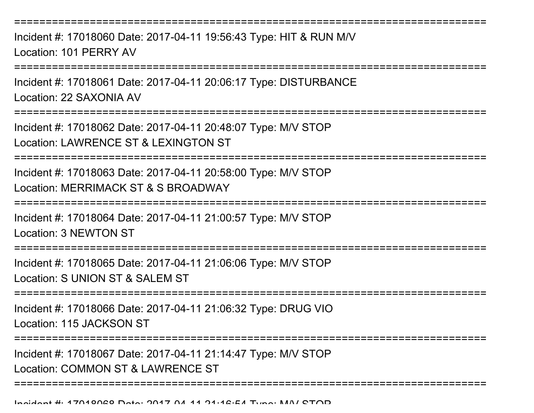===========================================================================

Incident #: 17018060 Date: 2017-04-11 19:56:43 Type: HIT & RUN M/VLocation: 101 PERRY AV

===========================================================================

Incident #: 17018061 Date: 2017-04-11 20:06:17 Type: DISTURBANCELocation: 22 SAXONIA AV

===========================================================================

Incident #: 17018062 Date: 2017-04-11 20:48:07 Type: M/V STOPLocation: LAWRENCE ST & LEXINGTON ST

===========================================================================

Incident #: 17018063 Date: 2017-04-11 20:58:00 Type: M/V STOPLocation: MERRIMACK ST & S BROADWAY

===========================================================================

Incident #: 17018064 Date: 2017-04-11 21:00:57 Type: M/V STOP

Location: 3 NEWTON ST

:=====================

Incident #: 17018065 Date: 2017-04-11 21:06:06 Type: M/V STOP

Location: S UNION ST & SALEM ST

===========================================================================

Incident #: 17018066 Date: 2017-04-11 21:06:32 Type: DRUG VIOLocation: 115 JACKSON ST

===========================================================================

===========================================================================

Incident #: 17018067 Date: 2017-04-11 21:14:47 Type: M/V STOP

Location: COMMON ST & LAWRENCE ST

Incident #: 17018068 Date: 2017 <sup>04</sup> 11 21:16:54 Type: M/V STOP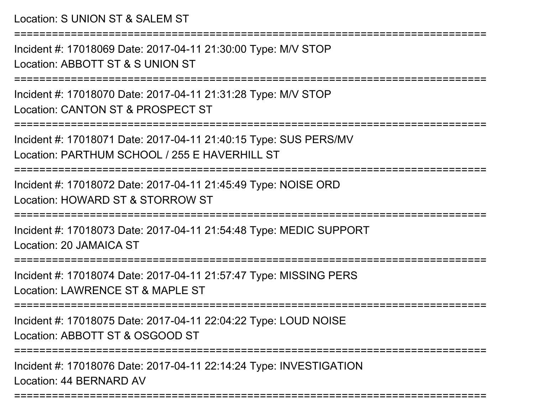Location: S UNION ST & SALEM ST

===========================================================================

Incident #: 17018069 Date: 2017-04-11 21:30:00 Type: M/V STOPLocation: ABBOTT ST & S UNION ST

===========================================================================

Incident #: 17018070 Date: 2017-04-11 21:31:28 Type: M/V STOPLocation: CANTON ST & PROSPECT ST

===========================================================================

Incident #: 17018071 Date: 2017-04-11 21:40:15 Type: SUS PERS/MVLocation: PARTHUM SCHOOL / 255 E HAVERHILL ST

===========================================================================

Incident #: 17018072 Date: 2017-04-11 21:45:49 Type: NOISE ORDLocation: HOWARD ST & STORROW ST

===========================================================================

Incident #: 17018073 Date: 2017-04-11 21:54:48 Type: MEDIC SUPPORTLocation: 20 JAMAICA ST

======================

Incident #: 17018074 Date: 2017-04-11 21:57:47 Type: MISSING PERSLocation: LAWRENCE ST & MAPLE ST

===========================================================================

Incident #: 17018075 Date: 2017-04-11 22:04:22 Type: LOUD NOISELocation: ABBOTT ST & OSGOOD ST

===========================================================================

===========================================================================

Incident #: 17018076 Date: 2017-04-11 22:14:24 Type: INVESTIGATIONLocation: 44 BERNARD AV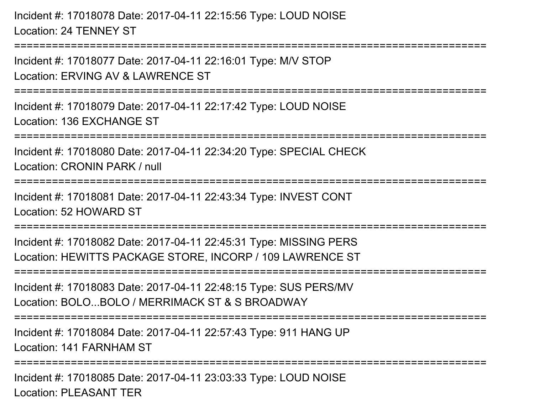Incident #: 17018078 Date: 2017-04-11 22:15:56 Type: LOUD NOISELocation: 24 TENNEY ST

===========================================================================

Incident #: 17018077 Date: 2017-04-11 22:16:01 Type: M/V STOPLocation: ERVING AV & LAWRENCE ST

===========================================================================

Incident #: 17018079 Date: 2017-04-11 22:17:42 Type: LOUD NOISELocation: 136 EXCHANGE ST

===========================================================================

Incident #: 17018080 Date: 2017-04-11 22:34:20 Type: SPECIAL CHECK

Location: CRONIN PARK / null

```
===========================================================================
```
Incident #: 17018081 Date: 2017-04-11 22:43:34 Type: INVEST CONTLocation: 52 HOWARD ST

===========================================================================

Incident #: 17018082 Date: 2017-04-11 22:45:31 Type: MISSING PERSLocation: HEWITTS PACKAGE STORE, INCORP / 109 LAWRENCE ST

===========================================================================

Incident #: 17018083 Date: 2017-04-11 22:48:15 Type: SUS PERS/MVLocation: BOLO...BOLO / MERRIMACK ST & S BROADWAY

===========================================================================

Incident #: 17018084 Date: 2017-04-11 22:57:43 Type: 911 HANG UPLocation: 141 FARNHAM ST

===========================================================================

Incident #: 17018085 Date: 2017-04-11 23:03:33 Type: LOUD NOISELocation: PLEASANT TER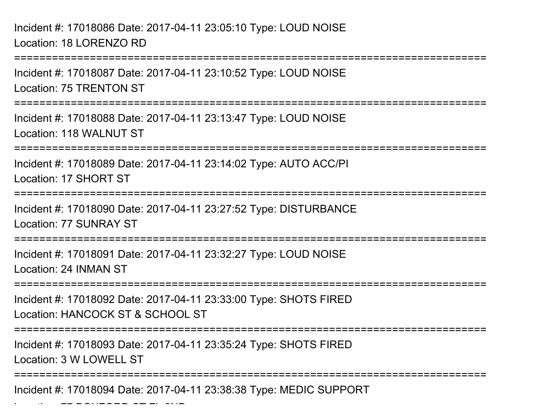Incident #: 17018086 Date: 2017-04-11 23:05:10 Type: LOUD NOISELocation: 18 LORENZO RD

 $\overline{a}$   $\overline{a}$   $\overline{a}$   $\overline{a}$   $\overline{a}$   $\overline{a}$   $\overline{a}$   $\overline{a}$   $\overline{a}$   $\overline{a}$   $\overline{a}$   $\overline{a}$   $\overline{a}$   $\overline{a}$   $\overline{a}$   $\overline{a}$   $\overline{a}$   $\overline{a}$   $\overline{a}$   $\overline{a}$   $\overline{a}$   $\overline{a}$   $\overline{a}$   $\overline{a}$   $\overline{$ 

 ===========================================================================Incident #: 17018087 Date: 2017-04-11 23:10:52 Type: LOUD NOISELocation: 75 TRENTON ST===========================================================================Incident #: 17018088 Date: 2017-04-11 23:13:47 Type: LOUD NOISELocation: 118 WALNUT ST===========================================================================Incident #: 17018089 Date: 2017-04-11 23:14:02 Type: AUTO ACC/PILocation: 17 SHORT ST===========================================================================Incident #: 17018090 Date: 2017-04-11 23:27:52 Type: DISTURBANCELocation: 77 SUNRAY ST===========================================================================Incident #: 17018091 Date: 2017-04-11 23:32:27 Type: LOUD NOISELocation: 24 INMAN ST===========================================================================Incident #: 17018092 Date: 2017-04-11 23:33:00 Type: SHOTS FIREDLocation: HANCOCK ST & SCHOOL ST===========================================================================Incident #: 17018093 Date: 2017-04-11 23:35:24 Type: SHOTS FIREDLocation: 3 W LOWELL ST===========================================================================Incident #: 17018094 Date: 2017-04-11 23:38:38 Type: MEDIC SUPPORT